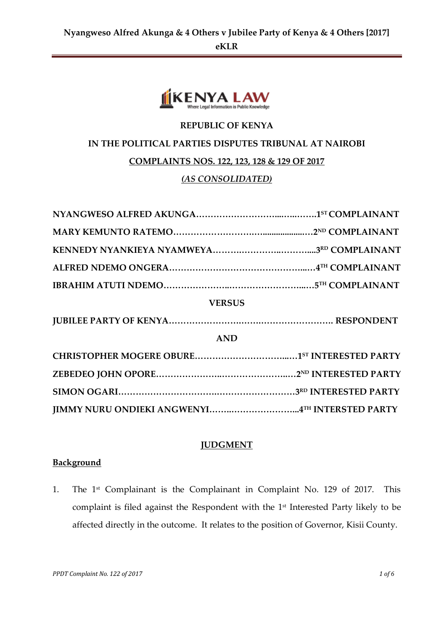

# **REPUBLIC OF KENYA IN THE POLITICAL PARTIES DISPUTES TRIBUNAL AT NAIROBI COMPLAINTS NOS. 122, 123, 128 & 129 OF 2017** *(AS CONSOLIDATED)*

| <b>VERSUS</b>                                  |  |
|------------------------------------------------|--|
|                                                |  |
| <b>AND</b>                                     |  |
|                                                |  |
|                                                |  |
|                                                |  |
| JIMMY NURU ONDIEKI ANGWENYI4TH INTERSTED PARTY |  |

## **JUDGMENT**

## **Background**

1. The 1<sup>st</sup> Complainant is the Complainant in Complaint No. 129 of 2017. This complaint is filed against the Respondent with the 1st Interested Party likely to be affected directly in the outcome. It relates to the position of Governor, Kisii County.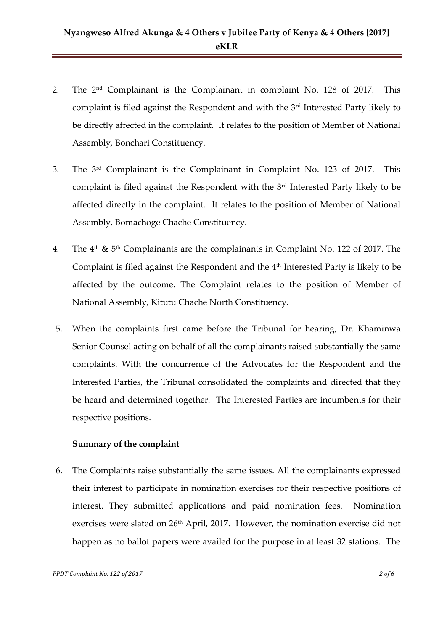- 2. The 2nd Complainant is the Complainant in complaint No. 128 of 2017. This complaint is filed against the Respondent and with the 3rd Interested Party likely to be directly affected in the complaint. It relates to the position of Member of National Assembly, Bonchari Constituency.
- 3. The 3<sup>rd</sup> Complainant is the Complainant in Complaint No. 123 of 2017. This complaint is filed against the Respondent with the 3<sup>rd</sup> Interested Party likely to be affected directly in the complaint. It relates to the position of Member of National Assembly, Bomachoge Chache Constituency.
- 4. The  $4<sup>th</sup>$  &  $5<sup>th</sup>$  Complainants are the complainants in Complaint No. 122 of 2017. The Complaint is filed against the Respondent and the  $4<sup>th</sup>$  Interested Party is likely to be affected by the outcome. The Complaint relates to the position of Member of National Assembly, Kitutu Chache North Constituency.
- 5. When the complaints first came before the Tribunal for hearing, Dr. Khaminwa Senior Counsel acting on behalf of all the complainants raised substantially the same complaints. With the concurrence of the Advocates for the Respondent and the Interested Parties, the Tribunal consolidated the complaints and directed that they be heard and determined together. The Interested Parties are incumbents for their respective positions.

#### **Summary of the complaint**

6. The Complaints raise substantially the same issues. All the complainants expressed their interest to participate in nomination exercises for their respective positions of interest. They submitted applications and paid nomination fees. Nomination exercises were slated on 26<sup>th</sup> April, 2017. However, the nomination exercise did not happen as no ballot papers were availed for the purpose in at least 32 stations. The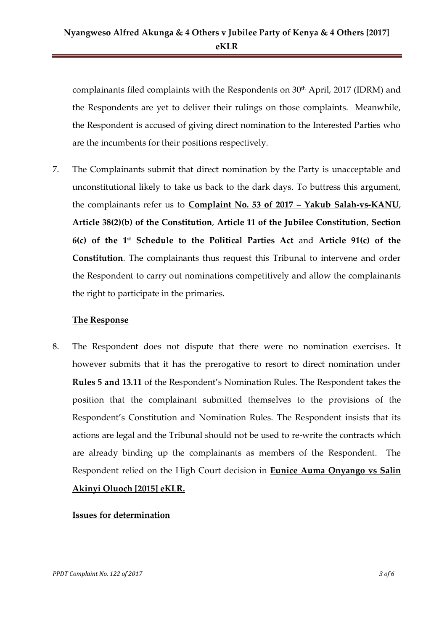complainants filed complaints with the Respondents on 30th April, 2017 (IDRM) and the Respondents are yet to deliver their rulings on those complaints. Meanwhile, the Respondent is accused of giving direct nomination to the Interested Parties who are the incumbents for their positions respectively.

7. The Complainants submit that direct nomination by the Party is unacceptable and unconstitutional likely to take us back to the dark days. To buttress this argument, the complainants refer us to **Complaint No. 53 of 2017 – Yakub Salah-vs-KANU**, **Article 38(2)(b) of the Constitution**, **Article 11 of the Jubilee Constitution**, **Section 6(c) of the 1st Schedule to the Political Parties Act** and **Article 91(c) of the Constitution**. The complainants thus request this Tribunal to intervene and order the Respondent to carry out nominations competitively and allow the complainants the right to participate in the primaries.

#### **The Response**

8. The Respondent does not dispute that there were no nomination exercises. It however submits that it has the prerogative to resort to direct nomination under **Rules 5 and 13.11** of the Respondent's Nomination Rules. The Respondent takes the position that the complainant submitted themselves to the provisions of the Respondent's Constitution and Nomination Rules. The Respondent insists that its actions are legal and the Tribunal should not be used to re-write the contracts which are already binding up the complainants as members of the Respondent. The Respondent relied on the High Court decision in **Eunice Auma Onyango vs Salin Akinyi Oluoch [2015] eKLR.**

#### **Issues for determination**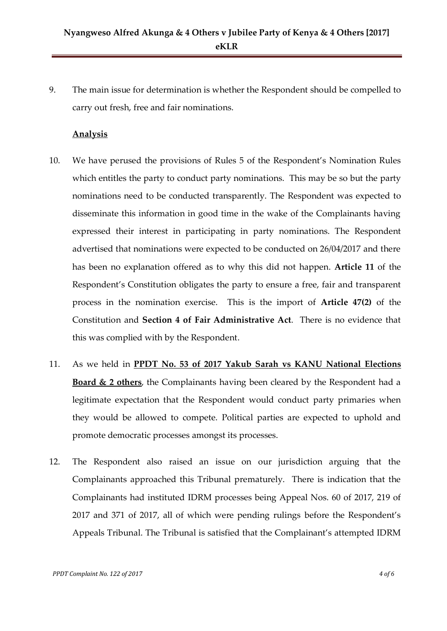9. The main issue for determination is whether the Respondent should be compelled to carry out fresh, free and fair nominations.

#### **Analysis**

- 10. We have perused the provisions of Rules 5 of the Respondent's Nomination Rules which entitles the party to conduct party nominations. This may be so but the party nominations need to be conducted transparently. The Respondent was expected to disseminate this information in good time in the wake of the Complainants having expressed their interest in participating in party nominations. The Respondent advertised that nominations were expected to be conducted on 26/04/2017 and there has been no explanation offered as to why this did not happen. **Article 11** of the Respondent's Constitution obligates the party to ensure a free, fair and transparent process in the nomination exercise. This is the import of **Article 47(2)** of the Constitution and **Section 4 of Fair Administrative Act**. There is no evidence that this was complied with by the Respondent.
- 11. As we held in **PPDT No. 53 of 2017 Yakub Sarah vs KANU National Elections Board & 2 others**, the Complainants having been cleared by the Respondent had a legitimate expectation that the Respondent would conduct party primaries when they would be allowed to compete. Political parties are expected to uphold and promote democratic processes amongst its processes.
- 12. The Respondent also raised an issue on our jurisdiction arguing that the Complainants approached this Tribunal prematurely. There is indication that the Complainants had instituted IDRM processes being Appeal Nos. 60 of 2017, 219 of 2017 and 371 of 2017, all of which were pending rulings before the Respondent's Appeals Tribunal. The Tribunal is satisfied that the Complainant's attempted IDRM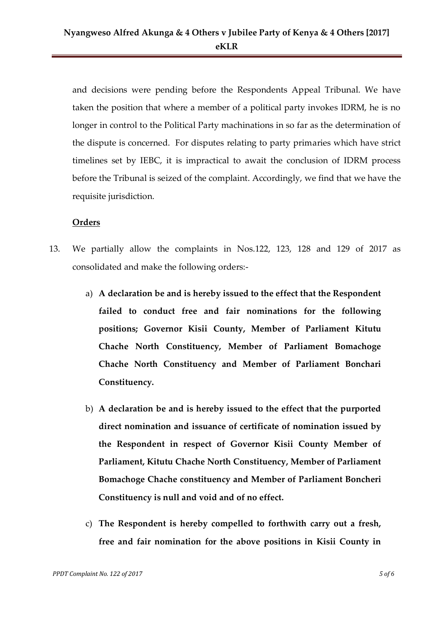and decisions were pending before the Respondents Appeal Tribunal. We have taken the position that where a member of a political party invokes IDRM, he is no longer in control to the Political Party machinations in so far as the determination of the dispute is concerned. For disputes relating to party primaries which have strict timelines set by IEBC, it is impractical to await the conclusion of IDRM process before the Tribunal is seized of the complaint. Accordingly, we find that we have the requisite jurisdiction.

### **Orders**

- 13. We partially allow the complaints in Nos.122, 123, 128 and 129 of 2017 as consolidated and make the following orders:
	- a) **A declaration be and is hereby issued to the effect that the Respondent failed to conduct free and fair nominations for the following positions; Governor Kisii County, Member of Parliament Kitutu Chache North Constituency, Member of Parliament Bomachoge Chache North Constituency and Member of Parliament Bonchari Constituency.**
	- b) **A declaration be and is hereby issued to the effect that the purported direct nomination and issuance of certificate of nomination issued by the Respondent in respect of Governor Kisii County Member of Parliament, Kitutu Chache North Constituency, Member of Parliament Bomachoge Chache constituency and Member of Parliament Boncheri Constituency is null and void and of no effect.**
	- c) **The Respondent is hereby compelled to forthwith carry out a fresh, free and fair nomination for the above positions in Kisii County in**